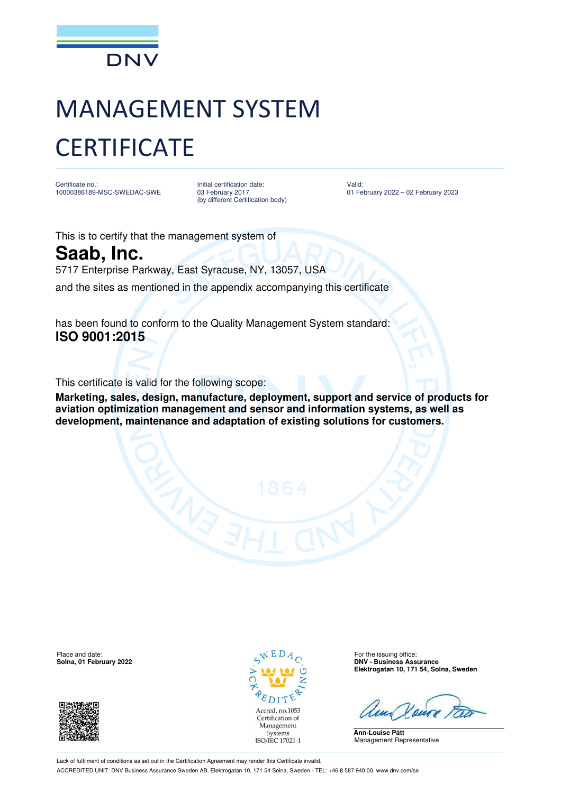

## MANAGEMENT SYSTEM **CERTIFICATE**

Certificate no.: 10000386189-MSC-SWEDAC-SWE Initial certification date: 03 February 2017 (by different Certification body)

Valid: 01 February 2022 – 02 February 2023

This is to certify that the management system of

**Saab, Inc.**

5717 Enterprise Parkway, East Syracuse, NY, 13057, USA

and the sites as mentioned in the appendix accompanying this certificate

has been found to conform to the Quality Management System standard: **ISO 9001:2015**

This certificate is valid for the following scope:

**Marketing, sales, design, manufacture, deployment, support and service of products for aviation optimization management and sensor and information systems, as well as development, maintenance and adaptation of existing solutions for customers.** 

Place and date: For the issuing office:  $\sqrt{E} D A_{\odot}$  For the issuing office:





**Solna, 01 February 2022 DNV - Business Assurance Elektrogatan 10, 171 54, Solna, Sweden**

**Ann-Louise Pått** Management Representative

Lack of fulfilment of conditions as set out in the Certification Agreement may render this Certificate invalid. ACCREDITED UNIT: DNV Business Assurance Sweden AB, Elektrogatan 10, 171 54 Solna, Sweden - TEL: +46 8 587 940 00. www.dnv.com/se